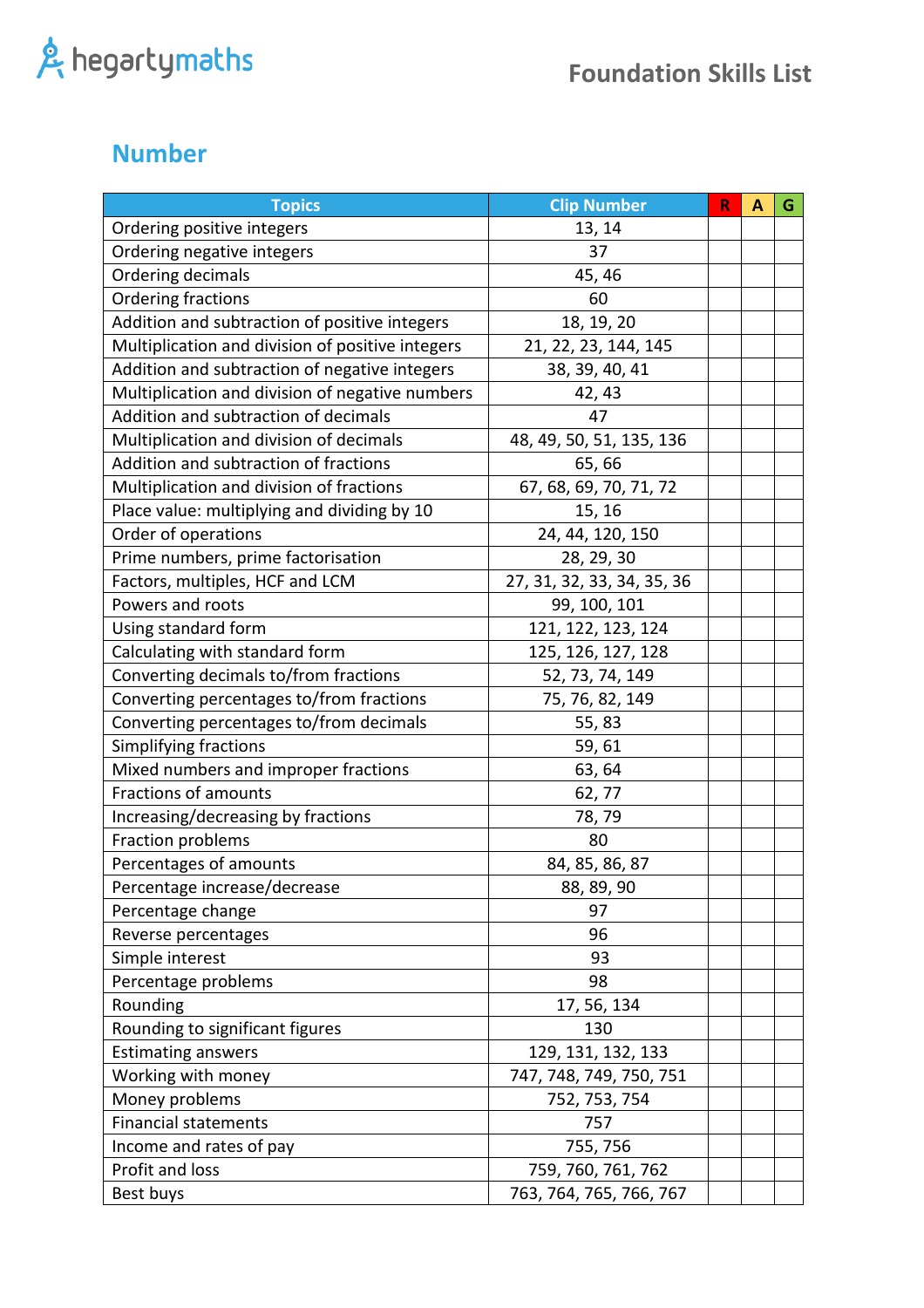#### **Number**

| <b>Topics</b>                                    | <b>Clip Number</b>         | $\mathsf R$ | A | G |
|--------------------------------------------------|----------------------------|-------------|---|---|
| Ordering positive integers                       | 13, 14                     |             |   |   |
| Ordering negative integers                       | 37                         |             |   |   |
| Ordering decimals                                | 45, 46                     |             |   |   |
| Ordering fractions                               | 60                         |             |   |   |
| Addition and subtraction of positive integers    | 18, 19, 20                 |             |   |   |
| Multiplication and division of positive integers | 21, 22, 23, 144, 145       |             |   |   |
| Addition and subtraction of negative integers    | 38, 39, 40, 41             |             |   |   |
| Multiplication and division of negative numbers  | 42, 43                     |             |   |   |
| Addition and subtraction of decimals             | 47                         |             |   |   |
| Multiplication and division of decimals          | 48, 49, 50, 51, 135, 136   |             |   |   |
| Addition and subtraction of fractions            | 65,66                      |             |   |   |
| Multiplication and division of fractions         | 67, 68, 69, 70, 71, 72     |             |   |   |
| Place value: multiplying and dividing by 10      | 15, 16                     |             |   |   |
| Order of operations                              | 24, 44, 120, 150           |             |   |   |
| Prime numbers, prime factorisation               | 28, 29, 30                 |             |   |   |
| Factors, multiples, HCF and LCM                  | 27, 31, 32, 33, 34, 35, 36 |             |   |   |
| Powers and roots                                 | 99, 100, 101               |             |   |   |
| Using standard form                              | 121, 122, 123, 124         |             |   |   |
| Calculating with standard form                   | 125, 126, 127, 128         |             |   |   |
| Converting decimals to/from fractions            | 52, 73, 74, 149            |             |   |   |
| Converting percentages to/from fractions         | 75, 76, 82, 149            |             |   |   |
| Converting percentages to/from decimals          | 55, 83                     |             |   |   |
| Simplifying fractions                            | 59,61                      |             |   |   |
| Mixed numbers and improper fractions             | 63, 64                     |             |   |   |
| Fractions of amounts                             | 62,77                      |             |   |   |
| Increasing/decreasing by fractions               | 78, 79                     |             |   |   |
| Fraction problems                                | 80                         |             |   |   |
| Percentages of amounts                           | 84, 85, 86, 87             |             |   |   |
| Percentage increase/decrease                     | 88, 89, 90                 |             |   |   |
| Percentage change                                | 97                         |             |   |   |
| Reverse percentages                              | 96                         |             |   |   |
| Simple interest                                  | 93                         |             |   |   |
| Percentage problems                              | 98                         |             |   |   |
| Rounding                                         | 17, 56, 134                |             |   |   |
| Rounding to significant figures                  | 130                        |             |   |   |
| <b>Estimating answers</b>                        | 129, 131, 132, 133         |             |   |   |
| Working with money                               | 747, 748, 749, 750, 751    |             |   |   |
| Money problems                                   | 752, 753, 754              |             |   |   |
| <b>Financial statements</b>                      | 757                        |             |   |   |
| Income and rates of pay                          | 755, 756                   |             |   |   |
| Profit and loss                                  | 759, 760, 761, 762         |             |   |   |
| Best buys                                        | 763, 764, 765, 766, 767    |             |   |   |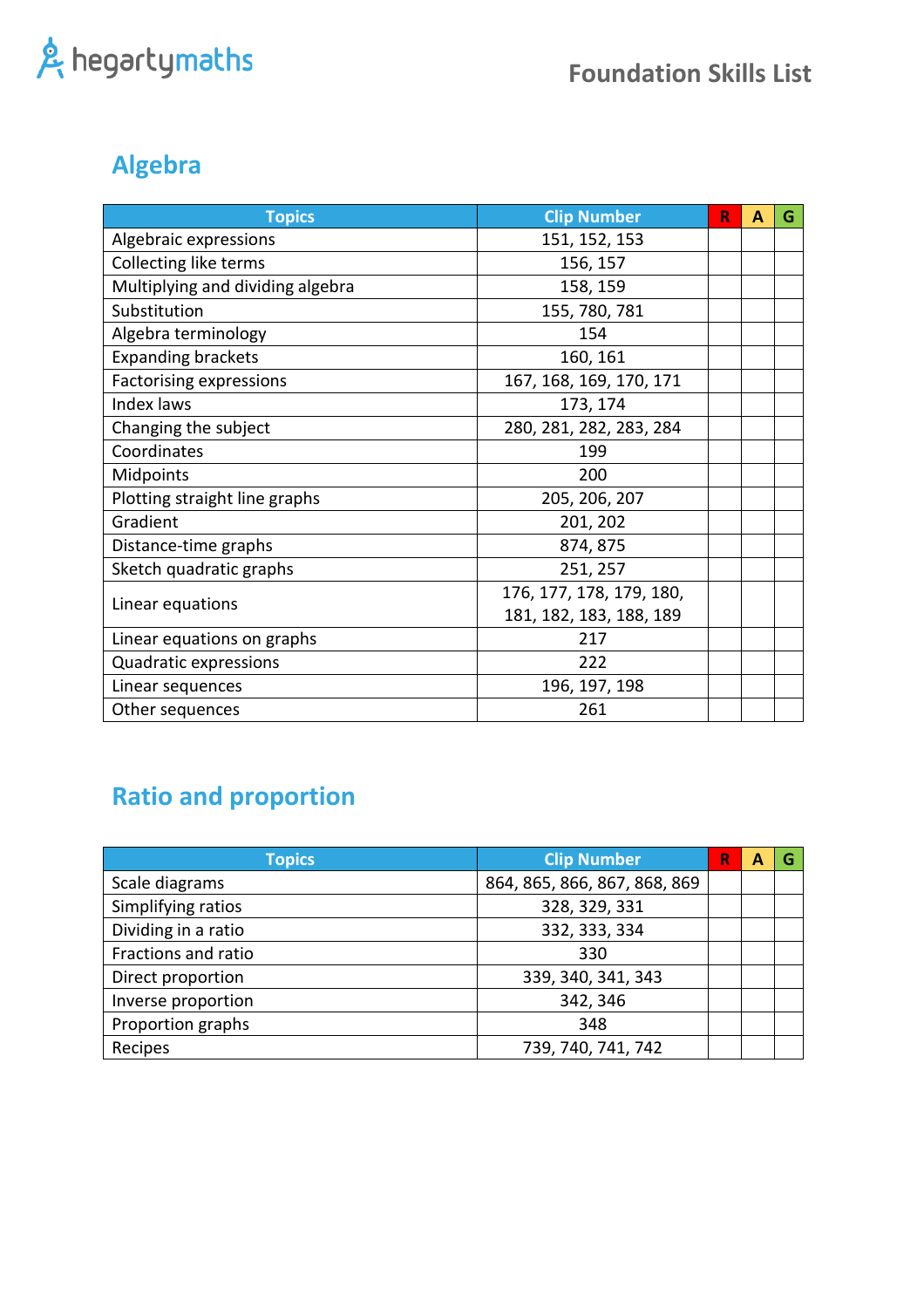### **Algebra**

| <b>Topics</b>                    | <b>Clip Number</b>       | R | A | G |
|----------------------------------|--------------------------|---|---|---|
| Algebraic expressions            | 151, 152, 153            |   |   |   |
| Collecting like terms            | 156, 157                 |   |   |   |
| Multiplying and dividing algebra | 158, 159                 |   |   |   |
| Substitution                     | 155, 780, 781            |   |   |   |
| Algebra terminology              | 154                      |   |   |   |
| <b>Expanding brackets</b>        | 160, 161                 |   |   |   |
| <b>Factorising expressions</b>   | 167, 168, 169, 170, 171  |   |   |   |
| Index laws                       | 173, 174                 |   |   |   |
| Changing the subject             | 280, 281, 282, 283, 284  |   |   |   |
| Coordinates                      | 199                      |   |   |   |
| Midpoints                        | 200                      |   |   |   |
| Plotting straight line graphs    | 205, 206, 207            |   |   |   |
| Gradient                         | 201, 202                 |   |   |   |
| Distance-time graphs             | 874, 875                 |   |   |   |
| Sketch quadratic graphs          | 251, 257                 |   |   |   |
|                                  | 176, 177, 178, 179, 180, |   |   |   |
| Linear equations                 | 181, 182, 183, 188, 189  |   |   |   |
| Linear equations on graphs       | 217                      |   |   |   |
| Quadratic expressions            | 222                      |   |   |   |
| Linear sequences                 | 196, 197, 198            |   |   |   |
| Other sequences                  | 261                      |   |   |   |

### **Ratio and proportion**

| <b>Topics</b>       | <b>Clip Number</b>           | R | А |  |
|---------------------|------------------------------|---|---|--|
| Scale diagrams      | 864, 865, 866, 867, 868, 869 |   |   |  |
| Simplifying ratios  | 328, 329, 331                |   |   |  |
| Dividing in a ratio | 332, 333, 334                |   |   |  |
| Fractions and ratio | 330                          |   |   |  |
| Direct proportion   | 339, 340, 341, 343           |   |   |  |
| Inverse proportion  | 342, 346                     |   |   |  |
| Proportion graphs   | 348                          |   |   |  |
| Recipes             | 739, 740, 741, 742           |   |   |  |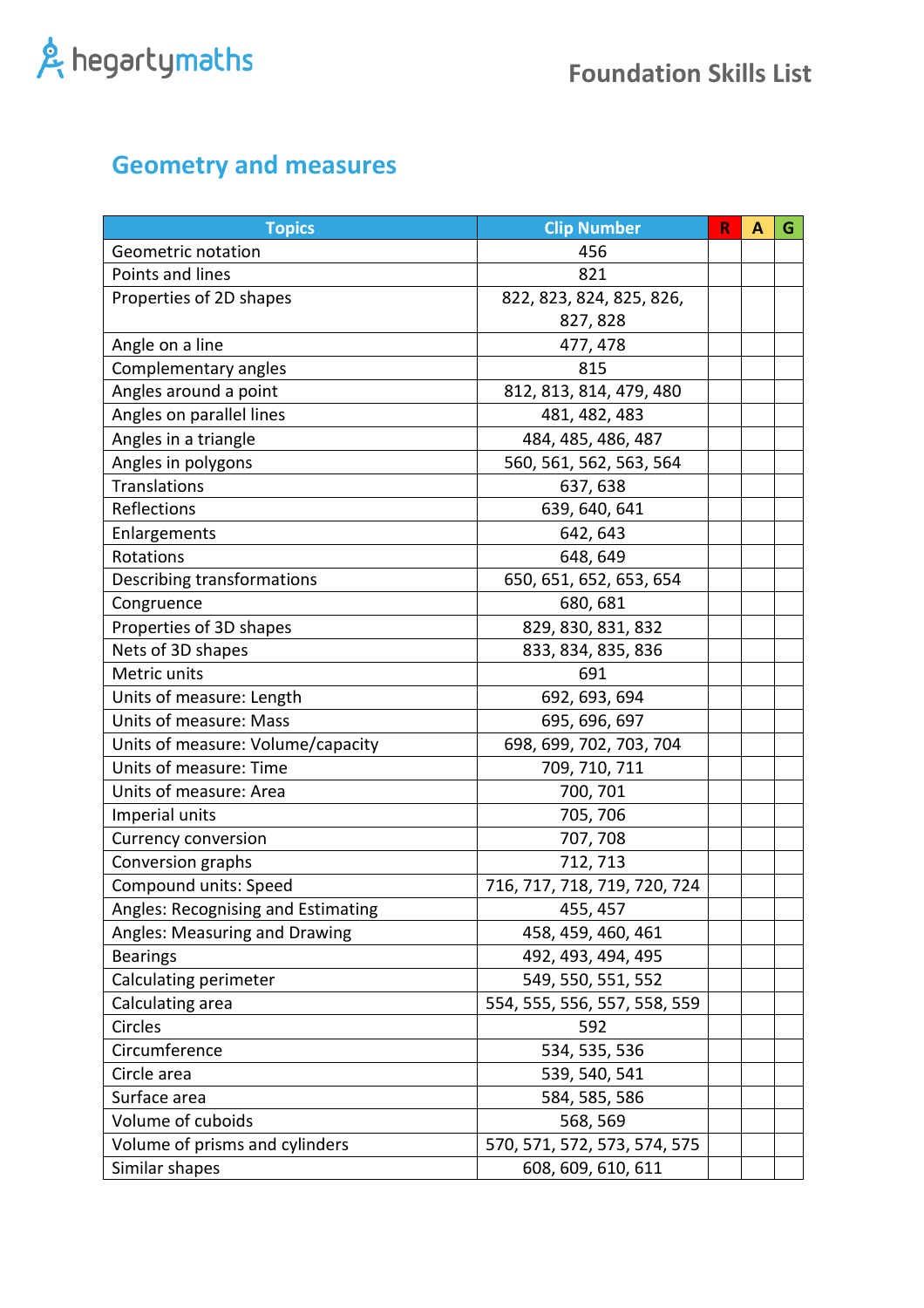### **Geometry and measures**

| <b>Topics</b>                      | <b>Clip Number</b>           | R | A | G |
|------------------------------------|------------------------------|---|---|---|
| Geometric notation                 | 456                          |   |   |   |
| Points and lines                   | 821                          |   |   |   |
| Properties of 2D shapes            | 822, 823, 824, 825, 826,     |   |   |   |
|                                    | 827, 828                     |   |   |   |
| Angle on a line                    | 477, 478                     |   |   |   |
| Complementary angles               | 815                          |   |   |   |
| Angles around a point              | 812, 813, 814, 479, 480      |   |   |   |
| Angles on parallel lines           | 481, 482, 483                |   |   |   |
| Angles in a triangle               | 484, 485, 486, 487           |   |   |   |
| Angles in polygons                 | 560, 561, 562, 563, 564      |   |   |   |
| <b>Translations</b>                | 637, 638                     |   |   |   |
| Reflections                        | 639, 640, 641                |   |   |   |
| Enlargements                       | 642, 643                     |   |   |   |
| Rotations                          | 648, 649                     |   |   |   |
| Describing transformations         | 650, 651, 652, 653, 654      |   |   |   |
| Congruence                         | 680, 681                     |   |   |   |
| Properties of 3D shapes            | 829, 830, 831, 832           |   |   |   |
| Nets of 3D shapes                  | 833, 834, 835, 836           |   |   |   |
| Metric units                       | 691                          |   |   |   |
| Units of measure: Length           | 692, 693, 694                |   |   |   |
| Units of measure: Mass             | 695, 696, 697                |   |   |   |
| Units of measure: Volume/capacity  | 698, 699, 702, 703, 704      |   |   |   |
| Units of measure: Time             | 709, 710, 711                |   |   |   |
| Units of measure: Area             | 700, 701                     |   |   |   |
| Imperial units                     | 705, 706                     |   |   |   |
| <b>Currency conversion</b>         | 707, 708                     |   |   |   |
| Conversion graphs                  | 712, 713                     |   |   |   |
| Compound units: Speed              | 716, 717, 718, 719, 720, 724 |   |   |   |
| Angles: Recognising and Estimating | 455, 457                     |   |   |   |
| Angles: Measuring and Drawing      | 458, 459, 460, 461           |   |   |   |
| <b>Bearings</b>                    | 492, 493, 494, 495           |   |   |   |
| Calculating perimeter              | 549, 550, 551, 552           |   |   |   |
| Calculating area                   | 554, 555, 556, 557, 558, 559 |   |   |   |
| Circles                            | 592                          |   |   |   |
| Circumference                      | 534, 535, 536                |   |   |   |
| Circle area                        | 539, 540, 541                |   |   |   |
| Surface area                       | 584, 585, 586                |   |   |   |
| Volume of cuboids                  | 568, 569                     |   |   |   |
| Volume of prisms and cylinders     | 570, 571, 572, 573, 574, 575 |   |   |   |
| Similar shapes                     | 608, 609, 610, 611           |   |   |   |